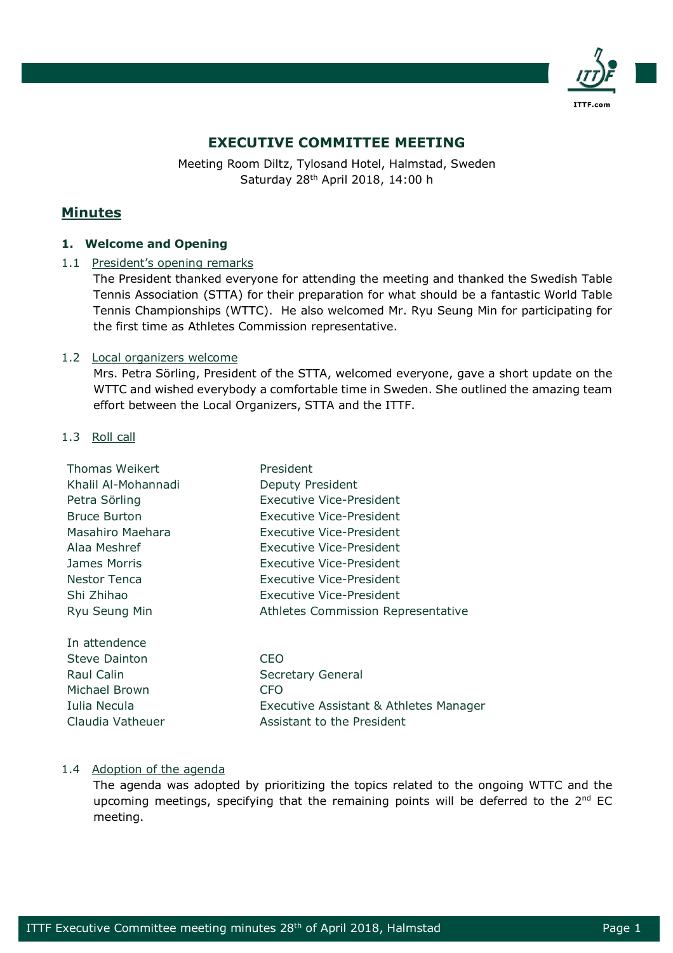

# **EXECUTIVE COMMITTEE MEETING**

Meeting Room Diltz, Tylosand Hotel, Halmstad, Sweden Saturday 28th April 2018, 14:00 h

# **Minutes**

# **1. Welcome and Opening**

1.1 President's opening remarks

The President thanked everyone for attending the meeting and thanked the Swedish Table Tennis Association (STTA) for their preparation for what should be a fantastic World Table Tennis Championships (WTTC). He also welcomed Mr. Ryu Seung Min for participating for the first time as Athletes Commission representative.

# 1.2 Local organizers welcome

Mrs. Petra Sörling, President of the STTA, welcomed everyone, gave a short update on the WTTC and wished everybody a comfortable time in Sweden. She outlined the amazing team effort between the Local Organizers, STTA and the ITTF.

1.3 Roll call

| President                              |
|----------------------------------------|
| Deputy President                       |
| Executive Vice-President               |
| Executive Vice-President               |
| Executive Vice-President               |
| Executive Vice-President               |
| Executive Vice-President               |
| Executive Vice-President               |
| Executive Vice-President               |
| Athletes Commission Representative     |
|                                        |
| CEO                                    |
| <b>Secretary General</b>               |
| <b>CFO</b>                             |
| Executive Assistant & Athletes Manager |
| Assistant to the President             |
|                                        |

# 1.4 Adoption of the agenda

The agenda was adopted by prioritizing the topics related to the ongoing WTTC and the upcoming meetings, specifying that the remaining points will be deferred to the  $2<sup>nd</sup>$  EC meeting.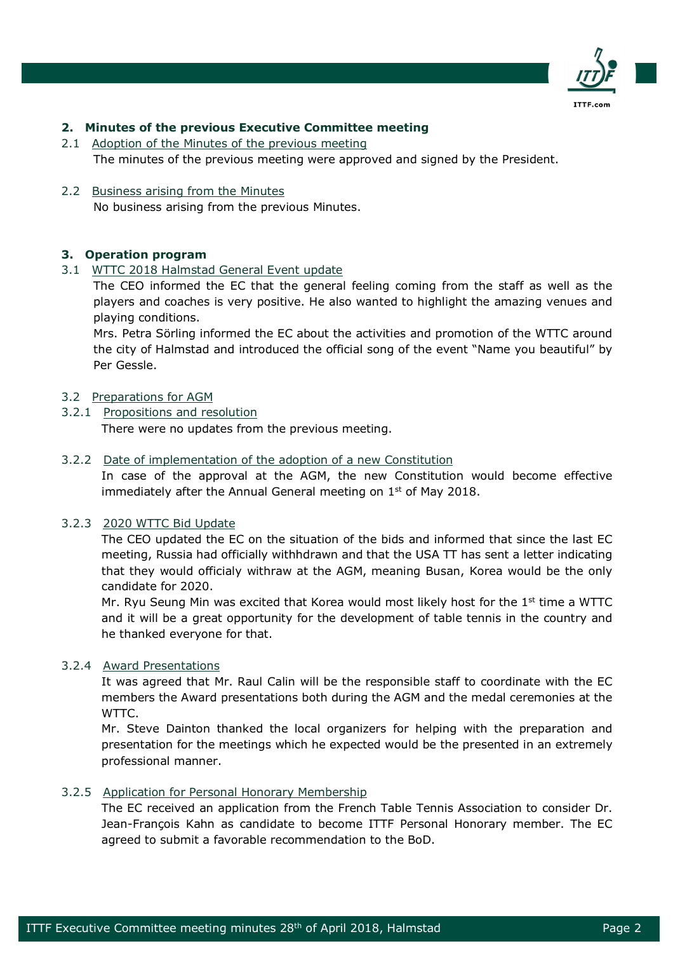

# **2. Minutes of the previous Executive Committee meeting**

2.1 Adoption of the Minutes of the previous meeting The minutes of the previous meeting were approved and signed by the President.

### 2.2 Business arising from the Minutes

No business arising from the previous Minutes.

# **3. Operation program**

#### 3.1 WTTC 2018 Halmstad General Event update

The CEO informed the EC that the general feeling coming from the staff as well as the players and coaches is very positive. He also wanted to highlight the amazing venues and playing conditions.

Mrs. Petra Sörling informed the EC about the activities and promotion of the WTTC around the city of Halmstad and introduced the official song of the event "Name you beautiful" by Per Gessle.

# 3.2 Preparations for AGM

3.2.1 Propositions and resolution There were no updates from the previous meeting.

# 3.2.2 Date of implementation of the adoption of a new Constitution

In case of the approval at the AGM, the new Constitution would become effective immediately after the Annual General meeting on  $1<sup>st</sup>$  of May 2018.

#### 3.2.3 2020 WTTC Bid Update

The CEO updated the EC on the situation of the bids and informed that since the last EC meeting, Russia had officially withhdrawn and that the USA TT has sent a letter indicating that they would officialy withraw at the AGM, meaning Busan, Korea would be the only candidate for 2020.

Mr. Ryu Seung Min was excited that Korea would most likely host for the  $1<sup>st</sup>$  time a WTTC and it will be a great opportunity for the development of table tennis in the country and he thanked everyone for that.

#### 3.2.4 Award Presentations

It was agreed that Mr. Raul Calin will be the responsible staff to coordinate with the EC members the Award presentations both during the AGM and the medal ceremonies at the WTTC.

Mr. Steve Dainton thanked the local organizers for helping with the preparation and presentation for the meetings which he expected would be the presented in an extremely professional manner.

#### 3.2.5 Application for Personal Honorary Membership

The EC received an application from the French Table Tennis Association to consider Dr. Jean-François Kahn as candidate to become ITTF Personal Honorary member. The EC agreed to submit a favorable recommendation to the BoD.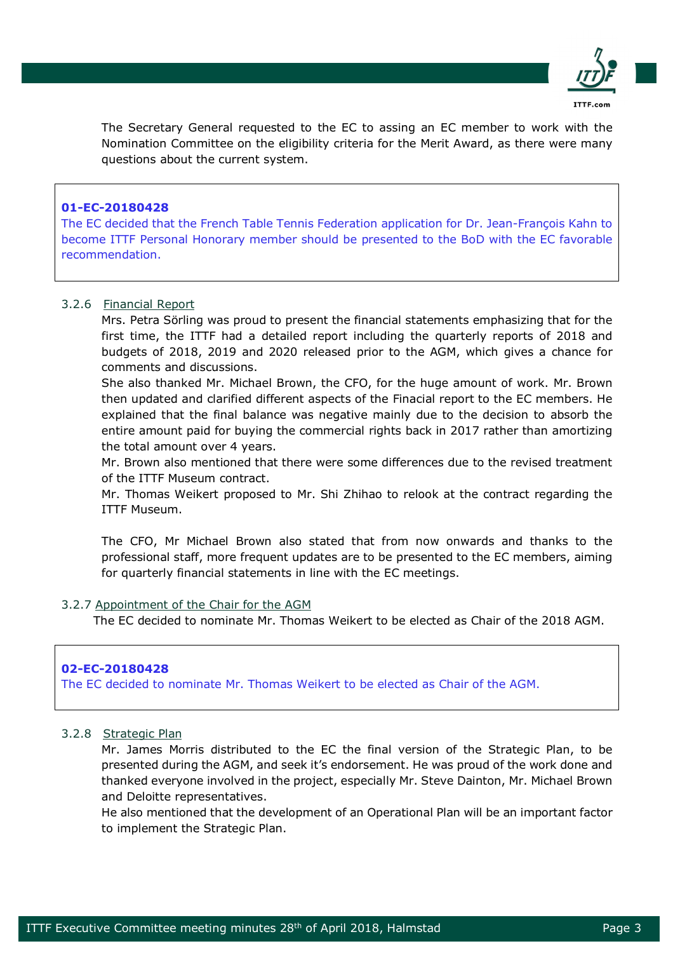

The Secretary General requested to the EC to assing an EC member to work with the Nomination Committee on the eligibility criteria for the Merit Award, as there were many questions about the current system.

# **01-EC-20180428**

The EC decided that the French Table Tennis Federation application for Dr. Jean-François Kahn to become ITTF Personal Honorary member should be presented to the BoD with the EC favorable recommendation.

# 3.2.6 Financial Report

Mrs. Petra Sörling was proud to present the financial statements emphasizing that for the first time, the ITTF had a detailed report including the quarterly reports of 2018 and budgets of 2018, 2019 and 2020 released prior to the AGM, which gives a chance for comments and discussions.

She also thanked Mr. Michael Brown, the CFO, for the huge amount of work. Mr. Brown then updated and clarified different aspects of the Finacial report to the EC members. He explained that the final balance was negative mainly due to the decision to absorb the entire amount paid for buying the commercial rights back in 2017 rather than amortizing the total amount over 4 years.

Mr. Brown also mentioned that there were some differences due to the revised treatment of the ITTF Museum contract.

Mr. Thomas Weikert proposed to Mr. Shi Zhihao to relook at the contract regarding the ITTF Museum.

The CFO, Mr Michael Brown also stated that from now onwards and thanks to the professional staff, more frequent updates are to be presented to the EC members, aiming for quarterly financial statements in line with the EC meetings.

#### 3.2.7 Appointment of the Chair for the AGM

The EC decided to nominate Mr. Thomas Weikert to be elected as Chair of the 2018 AGM.

#### **02-EC-20180428**

The EC decided to nominate Mr. Thomas Weikert to be elected as Chair of the AGM.

#### 3.2.8 Strategic Plan

Mr. James Morris distributed to the EC the final version of the Strategic Plan, to be presented during the AGM, and seek it's endorsement. He was proud of the work done and thanked everyone involved in the project, especially Mr. Steve Dainton, Mr. Michael Brown and Deloitte representatives.

He also mentioned that the development of an Operational Plan will be an important factor to implement the Strategic Plan.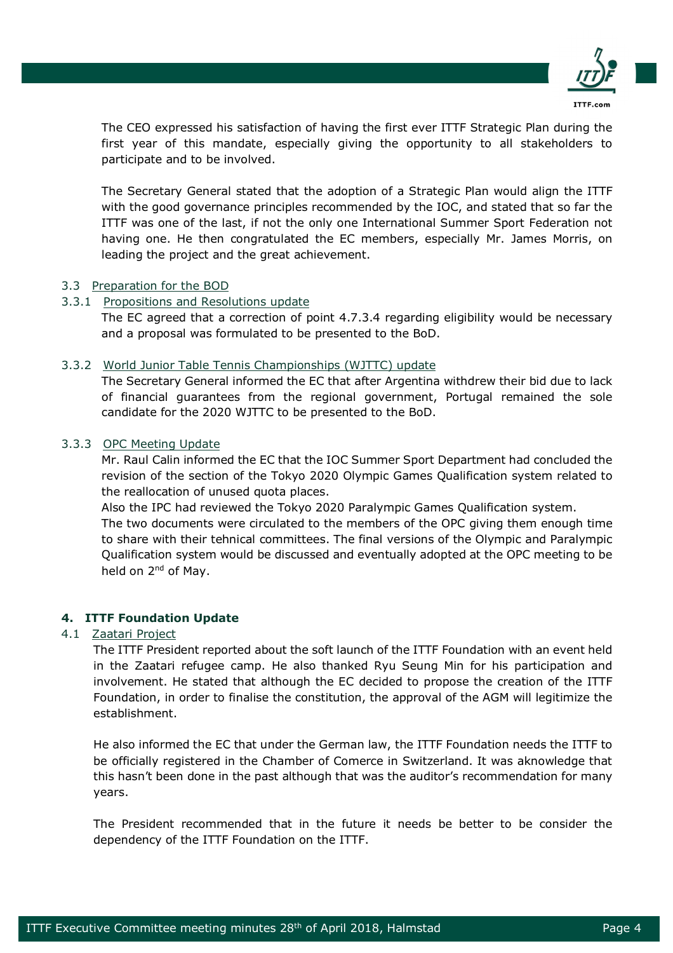

The CEO expressed his satisfaction of having the first ever ITTF Strategic Plan during the first year of this mandate, especially giving the opportunity to all stakeholders to participate and to be involved.

The Secretary General stated that the adoption of a Strategic Plan would align the ITTF with the good governance principles recommended by the IOC, and stated that so far the ITTF was one of the last, if not the only one International Summer Sport Federation not having one. He then congratulated the EC members, especially Mr. James Morris, on leading the project and the great achievement.

# 3.3 Preparation for the BOD

# 3.3.1 Propositions and Resolutions update

The EC agreed that a correction of point 4.7.3.4 regarding eligibility would be necessary and a proposal was formulated to be presented to the BoD.

# 3.3.2 World Junior Table Tennis Championships (WJTTC) update

The Secretary General informed the EC that after Argentina withdrew their bid due to lack of financial guarantees from the regional government, Portugal remained the sole candidate for the 2020 WJTTC to be presented to the BoD.

# 3.3.3 OPC Meeting Update

Mr. Raul Calin informed the EC that the IOC Summer Sport Department had concluded the revision of the section of the Tokyo 2020 Olympic Games Qualification system related to the reallocation of unused quota places.

Also the IPC had reviewed the Tokyo 2020 Paralympic Games Qualification system.

The two documents were circulated to the members of the OPC giving them enough time to share with their tehnical committees. The final versions of the Olympic and Paralympic Qualification system would be discussed and eventually adopted at the OPC meeting to be held on 2<sup>nd</sup> of May.

# **4. ITTF Foundation Update**

#### 4.1 Zaatari Project

The ITTF President reported about the soft launch of the ITTF Foundation with an event held in the Zaatari refugee camp. He also thanked Ryu Seung Min for his participation and involvement. He stated that although the EC decided to propose the creation of the ITTF Foundation, in order to finalise the constitution, the approval of the AGM will legitimize the establishment.

He also informed the EC that under the German law, the ITTF Foundation needs the ITTF to be officially registered in the Chamber of Comerce in Switzerland. It was aknowledge that this hasn't been done in the past although that was the auditor's recommendation for many years.

The President recommended that in the future it needs be better to be consider the dependency of the ITTF Foundation on the ITTF.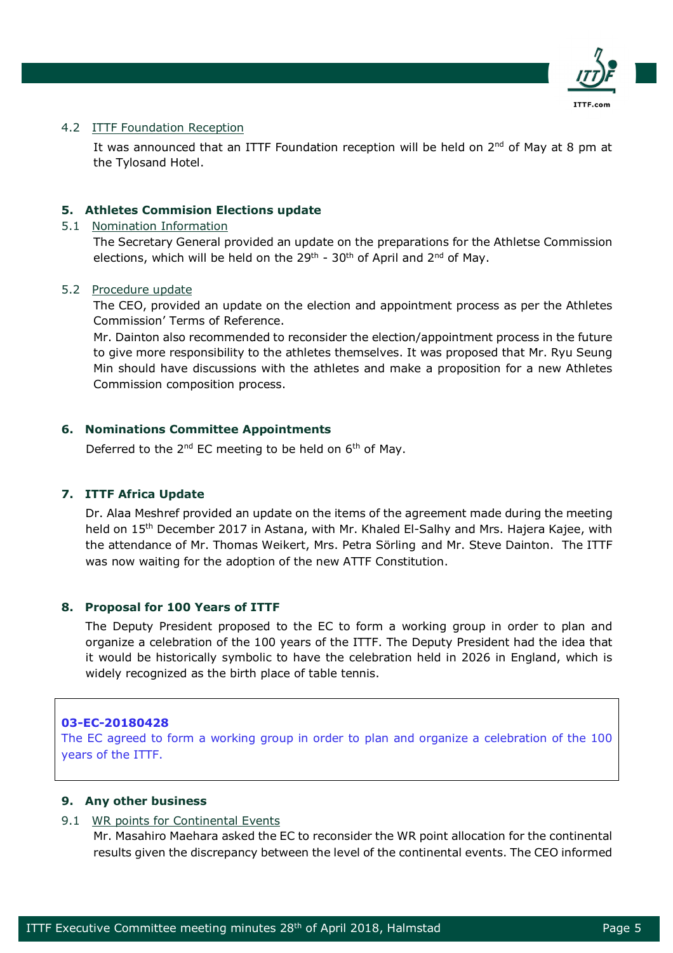

#### 4.2 ITTF Foundation Reception

It was announced that an ITTF Foundation reception will be held on  $2^{nd}$  of May at 8 pm at the Tylosand Hotel.

#### **5. Athletes Commision Elections update**

#### 5.1 Nomination Information

The Secretary General provided an update on the preparations for the Athletse Commission elections, which will be held on the  $29<sup>th</sup>$  -  $30<sup>th</sup>$  of April and  $2<sup>nd</sup>$  of May.

#### 5.2 Procedure update

The CEO, provided an update on the election and appointment process as per the Athletes Commission' Terms of Reference.

Mr. Dainton also recommended to reconsider the election/appointment process in the future to give more responsibility to the athletes themselves. It was proposed that Mr. Ryu Seung Min should have discussions with the athletes and make a proposition for a new Athletes Commission composition process.

# **6. Nominations Committee Appointments**

Deferred to the  $2^{nd}$  EC meeting to be held on  $6^{th}$  of May.

#### **7. ITTF Africa Update**

Dr. Alaa Meshref provided an update on the items of the agreement made during the meeting held on 15<sup>th</sup> December 2017 in Astana, with Mr. Khaled El-Salhy and Mrs. Hajera Kajee, with the attendance of Mr. Thomas Weikert, Mrs. Petra Sörling and Mr. Steve Dainton. The ITTF was now waiting for the adoption of the new ATTF Constitution.

#### **8. Proposal for 100 Years of ITTF**

The Deputy President proposed to the EC to form a working group in order to plan and organize a celebration of the 100 years of the ITTF. The Deputy President had the idea that it would be historically symbolic to have the celebration held in 2026 in England, which is widely recognized as the birth place of table tennis.

# **03-EC-20180428**

The EC agreed to form a working group in order to plan and organize a celebration of the 100 years of the ITTF.

#### **9. Any other business**

#### 9.1 WR points for Continental Events

Mr. Masahiro Maehara asked the EC to reconsider the WR point allocation for the continental results given the discrepancy between the level of the continental events. The CEO informed